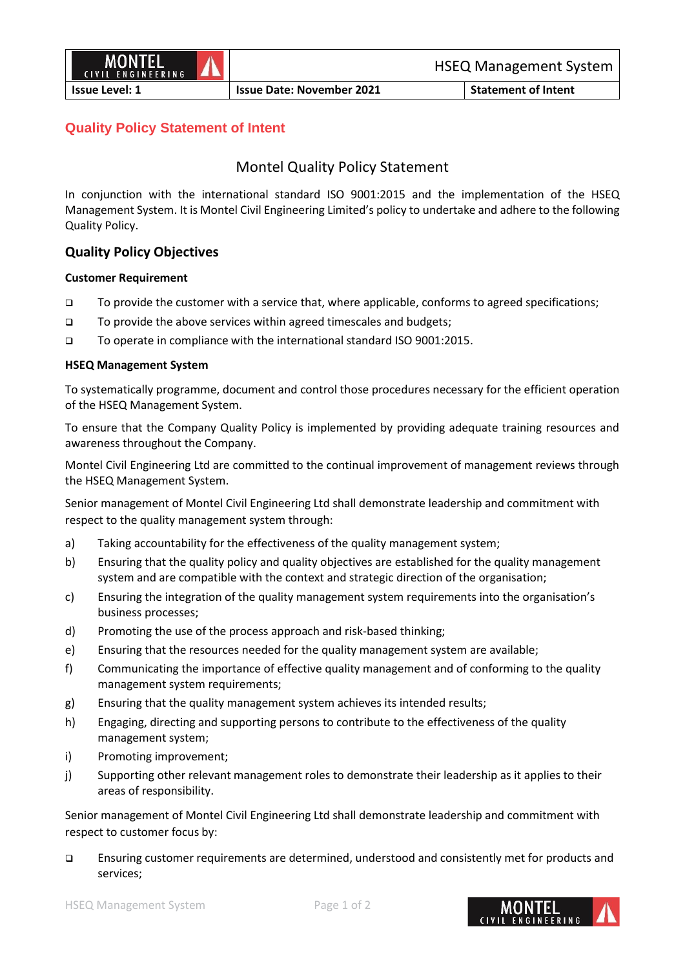**Issue Level: 1 Issue Date: November 2021 Statement of Intent**

## **Quality Policy Statement of Intent**

# Montel Quality Policy Statement

In conjunction with the international standard ISO 9001:2015 and the implementation of the HSEQ Management System. It is Montel Civil Engineering Limited's policy to undertake and adhere to the following Quality Policy.

### **Quality Policy Objectives**

#### **Customer Requirement**

- ❑ To provide the customer with a service that, where applicable, conforms to agreed specifications;
- ❑ To provide the above services within agreed timescales and budgets;
- ❑ To operate in compliance with the international standard ISO 9001:2015.

#### **HSEQ Management System**

To systematically programme, document and control those procedures necessary for the efficient operation of the HSEQ Management System.

To ensure that the Company Quality Policy is implemented by providing adequate training resources and awareness throughout the Company.

Montel Civil Engineering Ltd are committed to the continual improvement of management reviews through the HSEQ Management System.

Senior management of Montel Civil Engineering Ltd shall demonstrate leadership and commitment with respect to the quality management system through:

- a) Taking accountability for the effectiveness of the quality management system;
- b) Ensuring that the quality policy and quality objectives are established for the quality management system and are compatible with the context and strategic direction of the organisation;
- c) Ensuring the integration of the quality management system requirements into the organisation's business processes;
- d) Promoting the use of the process approach and risk-based thinking;
- e) Ensuring that the resources needed for the quality management system are available;
- f) Communicating the importance of effective quality management and of conforming to the quality management system requirements;
- g) Ensuring that the quality management system achieves its intended results;
- h) Engaging, directing and supporting persons to contribute to the effectiveness of the quality management system;
- i) Promoting improvement;
- j) Supporting other relevant management roles to demonstrate their leadership as it applies to their areas of responsibility.

Senior management of Montel Civil Engineering Ltd shall demonstrate leadership and commitment with respect to customer focus by:

❑ Ensuring customer requirements are determined, understood and consistently met for products and services;